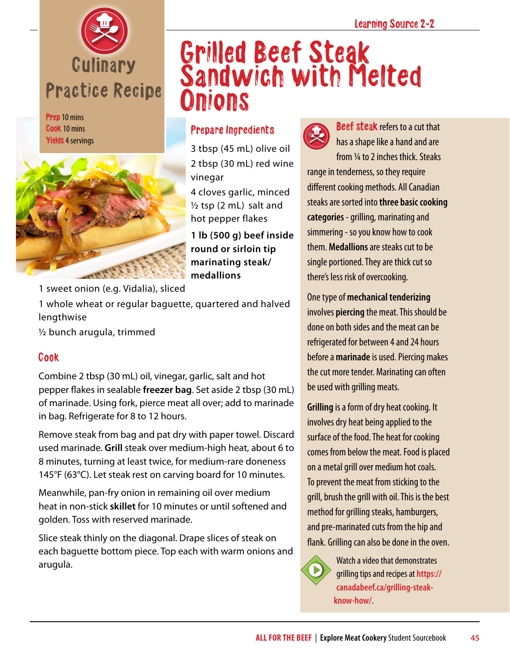

Prep 10 mins Cook 10 mins Yields 4 servings



## Grilled Beef Steak Sandwich with Melted **Onions**

## Prepare Ingredients

3 tbsp (45 mL) olive oil 2 tbsp (30 mL) red wine vinegar

4 cloves garlic, minced  $\frac{1}{2}$  tsp (2 mL) salt and hot pepper flakes

**1 lb (500 g) beef inside round or sirloin tip marinating steak/ medallions**

1 sweet onion (e.g. Vidalia), sliced

1 whole wheat or regular baguette, quartered and halved lengthwise

½ bunch arugula, trimmed

## Cook

Combine 2 tbsp (30 mL) oil, vinegar, garlic, salt and hot pepper flakes in sealable **freezer bag**. Set aside 2 tbsp (30 mL) of marinade. Using fork, pierce meat all over; add to marinade in bag. Refrigerate for 8 to 12 hours.

Remove steak from bag and pat dry with paper towel. Discard used marinade. **Grill** steak over medium-high heat, about 6 to 8 minutes, turning at least twice, for medium-rare doneness 145°F (63°C). Let steak rest on carving board for 10 minutes.

Meanwhile, pan-fry onion in remaining oil over medium heat in non-stick **skillet** for 10 minutes or until softened and golden. Toss with reserved marinade.

Slice steak thinly on the diagonal. Drape slices of steak on each baguette bottom piece. Top each with warm onions and arugula.



**Beef steak refers to a cut that** has a shape like a hand and are from ¼ to 2 inches thick. Steaks range in tenderness, so they require different cooking methods. All Canadian steaks are sorted into **three basic cooking categories** - grilling, marinating and simmering - so you know how to cook them. **Medallions** are steaks cut to be single portioned. They are thick cut so there's less risk of overcooking.

One type of **mechanical tenderizing** involves **piercing** the meat. This should be done on both sides and the meat can be refrigerated for between 4 and 24 hours before a **marinade** is used. Piercing makes the cut more tender. Marinating can often be used with grilling meats.

**Grilling** is a form of dry heat cooking. It involves dry heat being applied to the surface of the food. The heat for cooking comes from below the meat. Food is placed on a metal grill over medium hot coals. To prevent the meat from sticking to the grill, brush the grill with oil. This is the best method for grilling steaks, hamburgers, and pre-marinated cuts from the hip and flank. Grilling can also be done in the oven.

Watch a video that demonstrates grilling tips and recipes at **[https://](https://canadabeef.ca/grilling-steak-know-how/) [canadabeef.ca/grilling-steak](https://canadabeef.ca/grilling-steak-know-how/)[know-how/](https://canadabeef.ca/grilling-steak-know-how/)**.